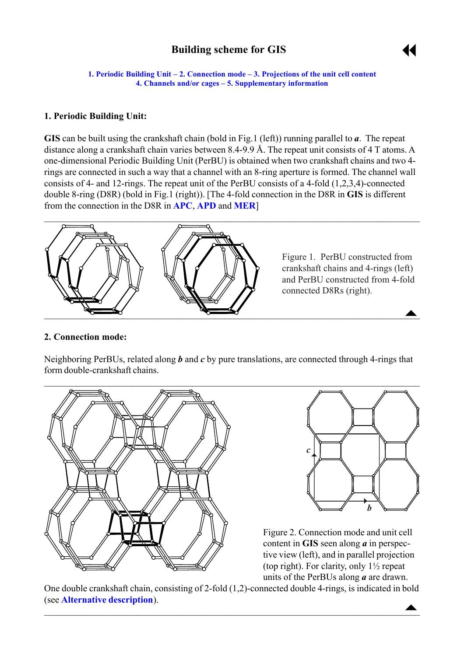# **Building scheme for GIS**



<span id="page-0-0"></span>**1. Periodic Building Unit – 2. Connection mode – [3. Projections of the unit cell](#page-1-0) content [4. Channels and/or cages](#page-1-0) ñ [5. Supplementary information](#page-1-0)**

#### **1. Periodic Building Unit:**

**GIS** can be built using the crankshaft chain (bold in Fig.1 (left)) running parallel to *a*. The repeat distance along a crankshaft chain varies between 8.4-9.9 Å. The repeat unit consists of 4 T atoms. A one-dimensional Periodic Building Unit (PerBU) is obtained when two crankshaft chains and two 4 rings are connected in such a way that a channel with an 8-ring aperture is formed. The channel wall consists of 4- and 12-rings. The repeat unit of the PerBU consists of a 4-fold (1,2,3,4)-connected double 8-ring (D8R) (bold in Fig.1 (right)). [The 4-fold connection in the D8R in **GIS** is different from the connection in the D8R in **[APC](http://www.iza-structure.org/databases/ModelBuilding/APC.pdf)**, **[APD](http://www.iza-structure.org/databases/ModelBuilding/APD.pdf)** and **[MER](http://www.iza-structure.org/databases/ModelBuilding/MER.pdf)**]



#### **2. Connection mode:**

Neighboring PerBUs, related along *b* and *c* by pure translations, are connected through 4-rings that form double-crankshaft chains.





Figure 2. Connection mode and unit cell content in **GIS** seen along *a* in perspective view (left), and in parallel projection (top right). For clarity, only 1½ repeat units of the PerBUs along *a* are drawn.

 $\triangle$ One double crankshaft chain, consisting of 2-fold (1,2)-connected double 4-rings, is indicated in bold (see **[Alternative description](#page-1-0)**).

 $\blacksquare$  . The contract of the contract of the contract of the contract of the contract of the contract of the contract of